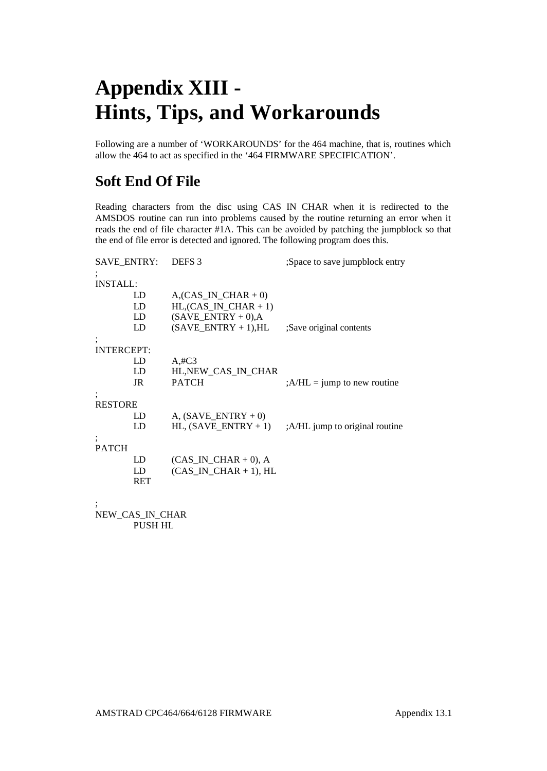# **Appendix XIII - Hints, Tips, and Workarounds**

Following are a number of 'WORKAROUNDS' for the 464 machine, that is, routines which allow the 464 to act as specified in the '464 FIRMWARE SPECIFICATION'.

## **Soft End Of File**

Reading characters from the disc using CAS IN CHAR when it is redirected to the AMSDOS routine can run into problems caused by the routine returning an error when it reads the end of file character #1A. This can be avoided by patching the jumpblock so that the end of file error is detected and ignored. The following program does this.

| SAVE ENTRY:       |                 | DEFS <sub>3</sub>              | Space to save jumpblock entry  |
|-------------------|-----------------|--------------------------------|--------------------------------|
|                   |                 |                                |                                |
| <b>INSTALL:</b>   |                 |                                |                                |
|                   | LD              | $A(CAS$ IN CHAR + 0)           |                                |
|                   | LD              | $HL$ , $(CAS$ $IN$ $CHAR + 1)$ |                                |
|                   | LD              | $(SAVE ENTRY + 0)$ , A         |                                |
|                   | LD              | $(SAVEENTRY + 1), HL$          | ;Save original contents        |
|                   |                 |                                |                                |
| <b>INTERCEPT:</b> |                 |                                |                                |
|                   | LD              | A#C3                           |                                |
|                   | LD              | HL, NEW CAS IN CHAR            |                                |
|                   | JR              | <b>PATCH</b>                   | $; A/HL = jump$ to new routine |
|                   |                 |                                |                                |
| <b>RESTORE</b>    |                 |                                |                                |
|                   | LD              | A, $(SAVEENTRY + 0)$           |                                |
|                   | LD              | HL, $(SAVE ENTER + 1)$         | :A/HL jump to original routine |
|                   |                 |                                |                                |
| <b>PATCH</b>      |                 |                                |                                |
|                   | LD              | $(CAS$ IN $CHAR + 0$ ), A      |                                |
|                   | LD              | $(CAS \tIN CHAR + 1)$ , HL     |                                |
|                   | RET             |                                |                                |
|                   |                 |                                |                                |
|                   |                 |                                |                                |
|                   | NEW CAS IN CHAR |                                |                                |

PUSH HL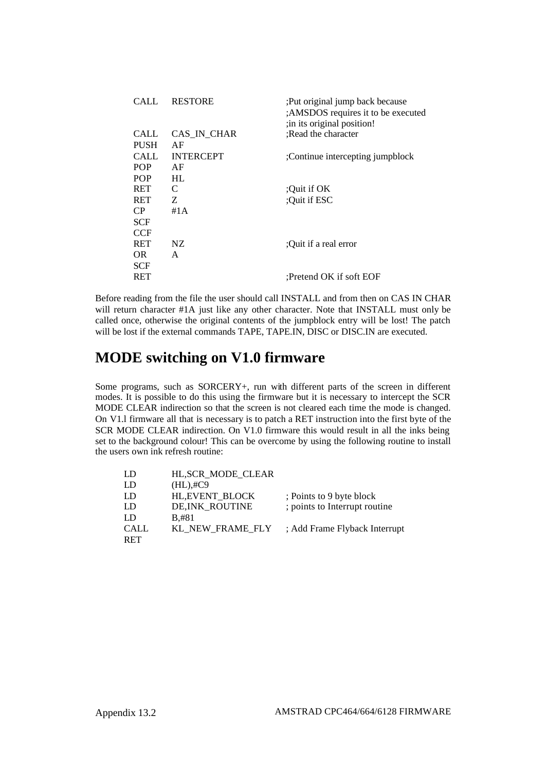| CALL.       | <b>RESTORE</b>   | : Put original jump back because<br>;AMSDOS requires it to be executed<br>; in its original position! |
|-------------|------------------|-------------------------------------------------------------------------------------------------------|
| CALL        | CAS IN CHAR      | :Read the character                                                                                   |
| <b>PUSH</b> | AF               |                                                                                                       |
| CALL        | <b>INTERCEPT</b> | :Continue intercepting jumpblock                                                                      |
| <b>POP</b>  | AF               |                                                                                                       |
| <b>POP</b>  | HL.              |                                                                                                       |
| <b>RET</b>  | C                | :Ouit if OK                                                                                           |
| <b>RET</b>  | Z.               | :Ouit if ESC                                                                                          |
| CP.         | #1 A             |                                                                                                       |
| <b>SCF</b>  |                  |                                                                                                       |
| <b>CCF</b>  |                  |                                                                                                       |
| <b>RET</b>  | NZ.              | :Ouit if a real error                                                                                 |
| OR.         | A                |                                                                                                       |
| <b>SCF</b>  |                  |                                                                                                       |
| RET         |                  | :Pretend OK if soft EOF                                                                               |
|             |                  |                                                                                                       |

Before reading from the file the user should call INSTALL and from then on CAS IN CHAR will return character #1A just like any other character. Note that INSTALL must only be called once, otherwise the original contents of the jumpblock entry will be lost! The patch will be lost if the external commands TAPE, TAPE.IN, DISC or DISC.IN are executed.

### **MODE switching on V1.0 firmware**

Some programs, such as SORCERY+, run with different parts of the screen in different modes. It is possible to do this using the firmware but it is necessary to intercept the SCR MODE CLEAR indirection so that the screen is not cleared each time the mode is changed. On V1.l firmware all that is necessary is to patch a RET instruction into the first byte of the SCR MODE CLEAR indirection. On V1.0 firmware this would result in all the inks being set to the background colour! This can be overcome by using the following routine to install the users own ink refresh routine:

| LD          | HL, SCR MODE CLEAR |                               |
|-------------|--------------------|-------------------------------|
| LD          | $(HL), \#C9$       |                               |
| LD          | HL, EVENT_BLOCK    | ; Points to 9 byte block      |
| LD          | DE, INK_ROUTINE    | ; points to Interrupt routine |
| LD          | B.#81              |                               |
| <b>CALL</b> | KL NEW FRAME FLY   | ; Add Frame Flyback Interrupt |
| <b>RET</b>  |                    |                               |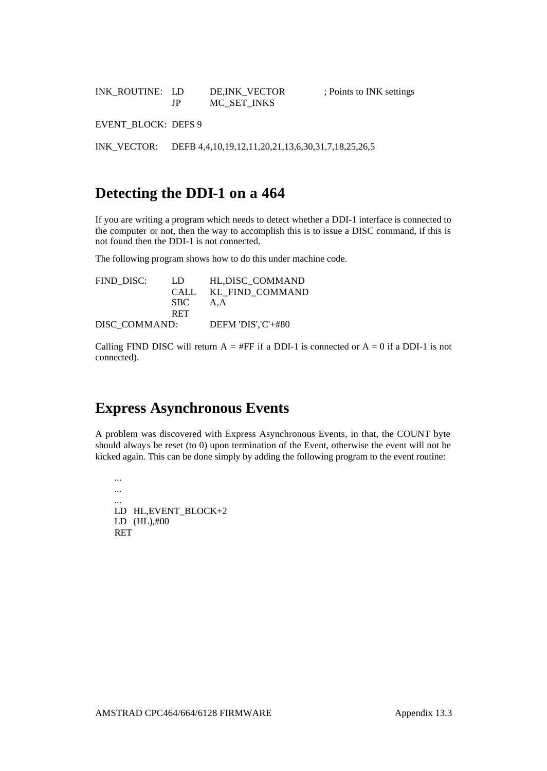INK\_ROUTINE: LD DE,INK\_VECTOR ; Points to INK settings JP MC\_SET\_INKS

EVENT\_BLOCK: DEFS 9

INK\_VECTOR: DEFB 4,4,10,19,12,11,20,21,13,6,30,31,7,18,25,26,5

#### **Detecting the DDI-1 on a 464**

If you are writing a program which needs to detect whether a DDI-1 interface is connected to the computer or not, then the way to accomplish this is to issue a DISC command, if this is not found then the DDI-1 is not connected.

The following program shows how to do this under machine code.

| FIND DISC:    | LD         | HL, DISC COMMAND     |
|---------------|------------|----------------------|
|               | CALL.      | KL FIND COMMAND      |
|               | SBC -      | A.A                  |
|               | <b>RET</b> |                      |
| DISC COMMAND: |            | DEFM 'DIS', $C'+#80$ |

Calling FIND DISC will return  $A = HFF$  if a DDI-1 is connected or  $A = 0$  if a DDI-1 is not connected).

#### **Express Asynchronous Events**

A problem was discovered with Express Asynchronous Events, in that, the COUNT byte should always be reset (to 0) upon termination of the Event, otherwise the event will not be kicked again. This can be done simply by adding the following program to the event routine:

... ... LD HL,EVENT\_BLOCK+2 LD (HL),#00 RET

...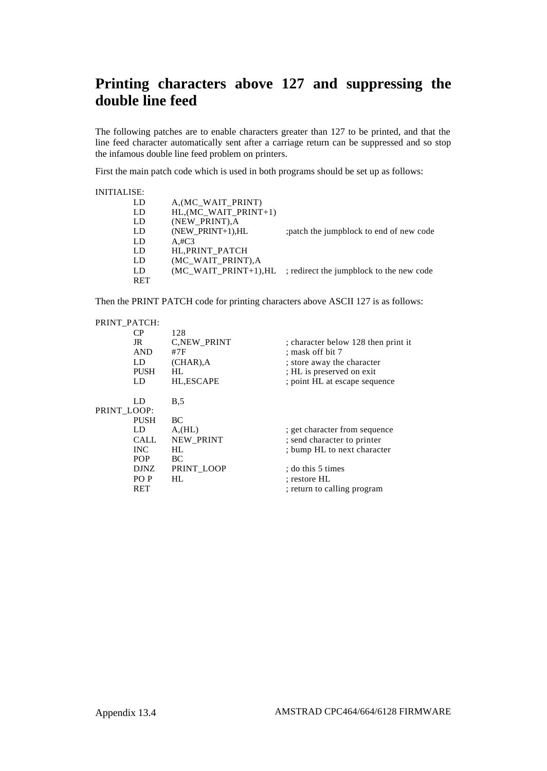## **Printing characters above 127 and suppressing the double line feed**

The following patches are to enable characters greater than 127 to be printed, and that the line feed character automatically sent after a carriage return can be suppressed and so stop the infamous double line feed problem on printers.

First the main patch code which is used in both programs should be set up as follows:

| <b>INITIALISE:</b> |                        |                                          |
|--------------------|------------------------|------------------------------------------|
| LD                 | A, (MC WAIT PRINT)     |                                          |
| LD                 | HL, (MC WAIT PRINT+1)  |                                          |
| LD                 | (NEW PRINT), A         |                                          |
| LD                 | (NEW PRINT+1), $HL$    | patch the jumpblock to end of new code;  |
| LD                 | A#C3                   |                                          |
| LD                 | HL, PRINT PATCH        |                                          |
| LD                 | (MC WAIT PRINT), A     |                                          |
| LD                 | $MC$ WAIT PRINT+1), HL | ; redirect the jumpblock to the new code |
| <b>RET</b>         |                        |                                          |
|                    |                        |                                          |

Then the PRINT PATCH code for printing characters above ASCII 127 is as follows:

| PRINT PATCH:    |                    |                                     |
|-----------------|--------------------|-------------------------------------|
| CР              | 128                |                                     |
| JR              | <b>C,NEW PRINT</b> | ; character below 128 then print it |
| <b>AND</b>      | #7F                | ; mask off bit 7                    |
| LD              | $(CHAR)$ , A       | ; store away the character          |
| <b>PUSH</b>     | HL.                | ; HL is preserved on exit           |
| LD              | HL,ESCAPE          | ; point HL at escape sequence       |
| LD              | B <sub>0.5</sub>   |                                     |
| PRINT LOOP:     |                    |                                     |
| <b>PUSH</b>     | BC.                |                                     |
| LD              | A,(HL)             | ; get character from sequence       |
| CALL.           | <b>NEW PRINT</b>   | ; send character to printer         |
| <b>INC</b>      | HI.                | ; bump HL to next character         |
| <b>POP</b>      | BC.                |                                     |
| DJNZ.           | PRINT LOOP         | : do this 5 times                   |
| PO <sub>P</sub> | HI.                | : restore HL                        |
| RET             |                    | ; return to calling program         |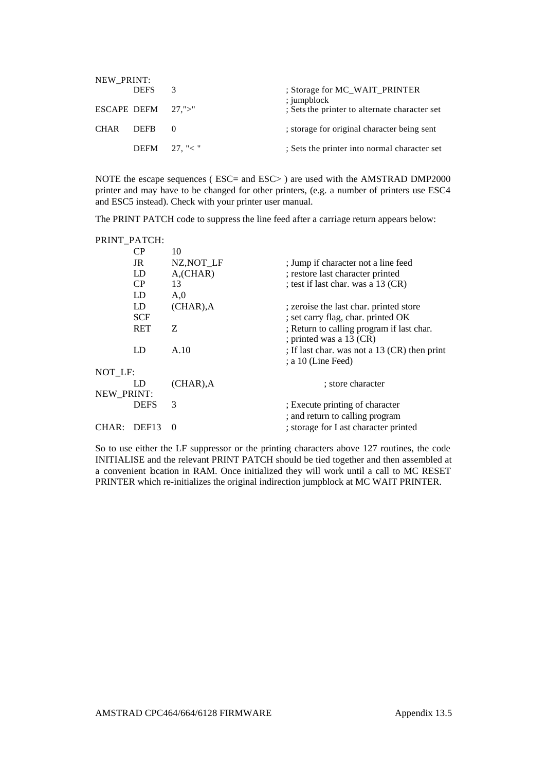| NEW PRINT:  |                       |               |                                                |
|-------------|-----------------------|---------------|------------------------------------------------|
|             | <b>DEFS</b>           | $\mathcal{R}$ | ; Storage for MC_WAIT_PRINTER<br>$:$ jumpblock |
|             | ESCAPE DEFM $27$ ,">" |               | ; Sets the printer to alternate character set  |
| <b>CHAR</b> | <b>DEFR</b>           |               | ; storage for original character being sent    |
|             | DEFM $27.$ "< "       |               | Sets the printer into normal character set     |

NOTE the escape sequences ( ESC= and ESC> ) are used with the AMSTRAD DMP2000 printer and may have to be changed for other printers, (e.g. a number of printers use ESC4 and ESC5 instead). Check with your printer user manual.

The PRINT PATCH code to suppress the line feed after a carriage return appears below:

|                   | PRINT PATCH:      |                       |                                                                      |
|-------------------|-------------------|-----------------------|----------------------------------------------------------------------|
|                   | CP.               | 10                    |                                                                      |
|                   | JR                | NZ, NOT LF            | ; Jump if character not a line feed                                  |
|                   | LD                | $A$ <sub>(CHAR)</sub> | ; restore last character printed                                     |
|                   | CP.               | 13                    | ; test if last char. was a 13 (CR)                                   |
|                   | LD                | A,0                   |                                                                      |
|                   | LD                | $(CHAR)$ , A          | ; zeroise the last char. printed store                               |
|                   | SCF               |                       | ; set carry flag, char. printed OK                                   |
|                   | RET               | Z                     | ; Return to calling program if last char.<br>; printed was a 13 (CR) |
|                   | LD                | A.10                  | ; If last char. was not a 13 (CR) then print<br>: a 10 (Line Feed)   |
| NOT LF:           |                   |                       |                                                                      |
|                   | LD                | $(CHAR)$ , A          | ; store character                                                    |
| <b>NEW PRINT:</b> |                   |                       |                                                                      |
|                   | <b>DEFS</b>       | 3                     | ; Execute printing of character                                      |
|                   |                   |                       | ; and return to calling program                                      |
| CHAR:             | DEF <sub>13</sub> | $\Omega$              | ; storage for I ast character printed                                |

So to use either the LF suppressor or the printing characters above 127 routines, the code INITIALISE and the relevant PRINT PATCH should be tied together and then assembled at a convenient location in RAM. Once initialized they will work until a call to MC RESET PRINTER which re-initializes the original indirection jumpblock at MC WAIT PRINTER.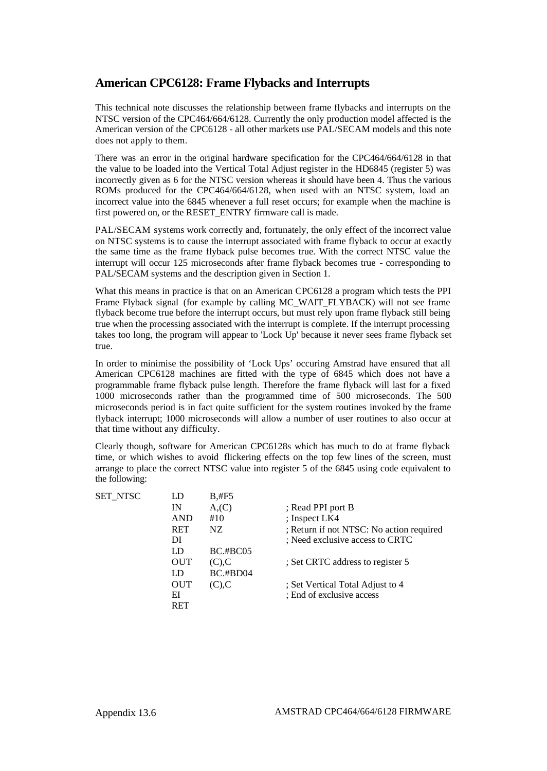#### **American CPC6128: Frame Flybacks and Interrupts**

This technical note discusses the relationship between frame flybacks and interrupts on the NTSC version of the CPC464/664/6128. Currently the only production model affected is the American version of the CPC6128 - all other markets use PAL/SECAM models and this note does not apply to them.

There was an error in the original hardware specification for the CPC464/664/6128 in that the value to be loaded into the Vertical Total Adjust register in the HD6845 (register 5) was incorrectly given as 6 for the NTSC version whereas it should have been 4. Thus the various ROMs produced for the CPC464/664/6128, when used with an NTSC system, load an incorrect value into the 6845 whenever a full reset occurs; for example when the machine is first powered on, or the RESET\_ENTRY firmware call is made.

PAL/SECAM systems work correctly and, fortunately, the only effect of the incorrect value on NTSC systems is to cause the interrupt associated with frame flyback to occur at exactly the same time as the frame flyback pulse becomes true. With the correct NTSC value the interrupt will occur 125 microseconds after frame flyback becomes true - corresponding to PAL/SECAM systems and the description given in Section 1.

What this means in practice is that on an American CPC6128 a program which tests the PPI Frame Flyback signal (for example by calling MC\_WAIT\_FLYBACK) will not see frame flyback become true before the interrupt occurs, but must rely upon frame flyback still being true when the processing associated with the interrupt is complete. If the interrupt processing takes too long, the program will appear to 'Lock Up' because it never sees frame flyback set true.

In order to minimise the possibility of 'Lock Ups' occuring Amstrad have ensured that all American CPC6128 machines are fitted with the type of 6845 which does not have a programmable frame flyback pulse length. Therefore the frame flyback will last for a fixed 1000 microseconds rather than the programmed time of 500 microseconds. The 500 microseconds period is in fact quite sufficient for the system routines invoked by the frame flyback interrupt; 1000 microseconds will allow a number of user routines to also occur at that time without any difficulty.

Clearly though, software for American CPC6128s which has much to do at frame flyback time, or which wishes to avoid flickering effects on the top few lines of the screen, must arrange to place the correct NTSC value into register 5 of the 6845 using code equivalent to the following:

| SET NTSC | LD         | B,#F5              |                                          |
|----------|------------|--------------------|------------------------------------------|
|          | IN         | A <sub>1</sub> (C) | ; Read PPI port B                        |
|          | <b>AND</b> | #10                | ; Inspect LK4                            |
|          | RET        | NZ.                | ; Return if not NTSC: No action required |
|          | DI         |                    | : Need exclusive access to CRTC          |
|          | LD         | $BC.$ # $BC05$     |                                          |
|          | <b>OUT</b> | $(C)$ , $C$        | ; Set CRTC address to register 5         |
|          | LD         | $BC.+BD04$         |                                          |
|          | <b>OUT</b> | $(C)$ , $C$        | ; Set Vertical Total Adjust to 4         |
|          | EI         |                    | : End of exclusive access                |
|          | RET        |                    |                                          |
|          |            |                    |                                          |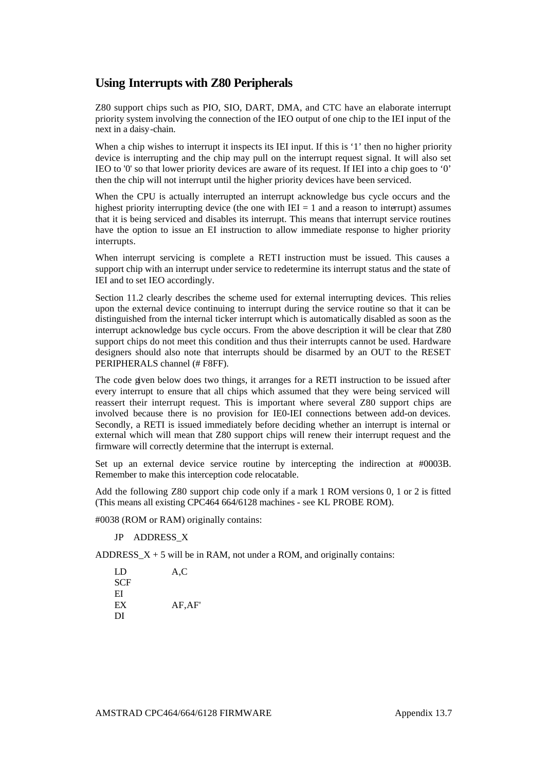#### **Using Interrupts with Z80 Peripherals**

Z80 support chips such as PIO, SIO, DART, DMA, and CTC have an elaborate interrupt priority system involving the connection of the IEO output of one chip to the IEI input of the next in a daisy-chain.

When a chip wishes to interrupt it inspects its IEI input. If this is '1' then no higher priority device is interrupting and the chip may pull on the interrupt request signal. It will also set IEO to '0' so that lower priority devices are aware of its request. If IEI into a chip goes to '0' then the chip will not interrupt until the higher priority devices have been serviced.

When the CPU is actually interrupted an interrupt acknowledge bus cycle occurs and the highest priority interrupting device (the one with  $IEI = 1$  and a reason to interrupt) assumes that it is being serviced and disables its interrupt. This means that interrupt service routines have the option to issue an EI instruction to allow immediate response to higher priority interrupts.

When interrupt servicing is complete a RETI instruction must be issued. This causes a support chip with an interrupt under service to redetermine its interrupt status and the state of IEI and to set IEO accordingly.

Section 11.2 clearly describes the scheme used for external interrupting devices. This relies upon the external device continuing to interrupt during the service routine so that it can be distinguished from the internal ticker interrupt which is automatically disabled as soon as the interrupt acknowledge bus cycle occurs. From the above description it will be clear that Z80 support chips do not meet this condition and thus their interrupts cannot be used. Hardware designers should also note that interrupts should be disarmed by an OUT to the RESET PERIPHERALS channel (# F8FF).

The code given below does two things, it arranges for a RETI instruction to be issued after every interrupt to ensure that all chips which assumed that they were being serviced will reassert their interrupt request. This is important where several Z80 support chips are involved because there is no provision for IE0-IEI connections between add-on devices. Secondly, a RETI is issued immediately before deciding whether an interrupt is internal or external which will mean that Z80 support chips will renew their interrupt request and the firmware will correctly determine that the interrupt is external.

Set up an external device service routine by intercepting the indirection at #0003B. Remember to make this interception code relocatable.

Add the following Z80 support chip code only if a mark 1 ROM versions 0, 1 or 2 is fitted (This means all existing CPC464 664/6128 machines - see KL PROBE ROM).

#0038 (ROM or RAM) originally contains:

JP ADDRESS\_X

ADDRESS  $X + 5$  will be in RAM, not under a ROM, and originally contains:

| LD  | A,C    |
|-----|--------|
| SCF |        |
| EI  |        |
| EX  | AF,AF' |
| DI  |        |